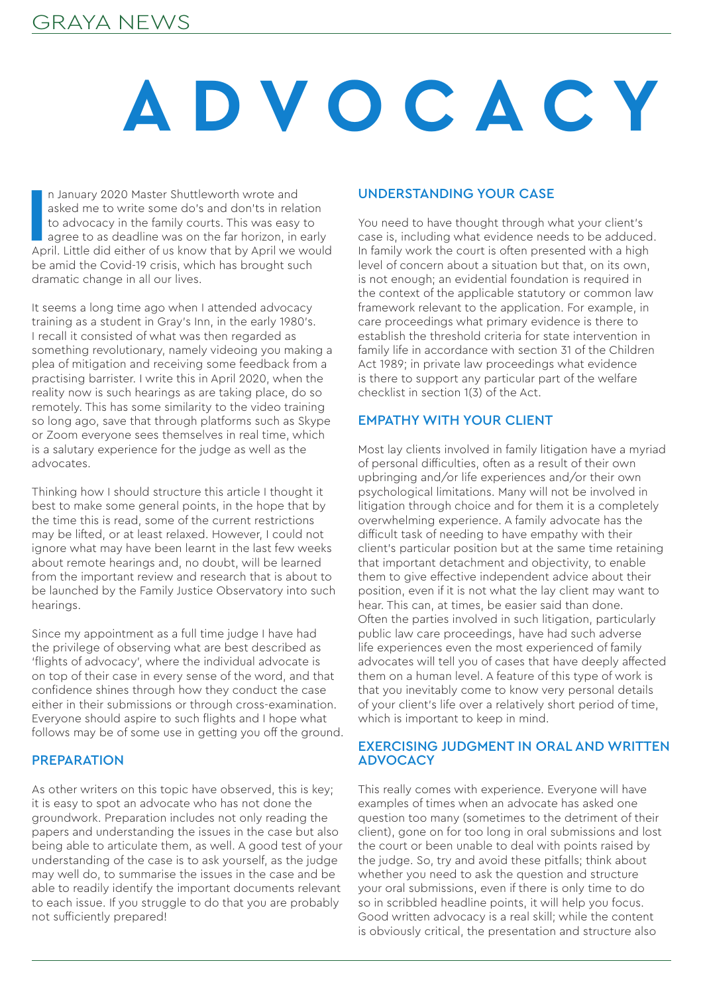### GRAYA NEWS

# **ADVOCACY**

In January 2020 Master Shuttleworth wrote and<br>asked me to write some do's and don'ts in relation<br>to advocacy in the family courts. This was easy to<br>agree to as deadline was on the far horizon, in early<br>April. Little did ei n January 2020 Master Shuttleworth wrote and asked me to write some do's and don'ts in relation to advocacy in the family courts. This was easy to agree to as deadline was on the far horizon, in early be amid the Covid-19 crisis, which has brought such dramatic change in all our lives.

It seems a long time ago when I attended advocacy training as a student in Gray's Inn, in the early 1980's. I recall it consisted of what was then regarded as something revolutionary, namely videoing you making a plea of mitigation and receiving some feedback from a practising barrister. I write this in April 2020, when the reality now is such hearings as are taking place, do so remotely. This has some similarity to the video training so long ago, save that through platforms such as Skype or Zoom everyone sees themselves in real time, which is a salutary experience for the judge as well as the advocates.

Thinking how I should structure this article I thought it best to make some general points, in the hope that by the time this is read, some of the current restrictions may be lifted, or at least relaxed. However, I could not ignore what may have been learnt in the last few weeks about remote hearings and, no doubt, will be learned from the important review and research that is about to be launched by the Family Justice Observatory into such hearings.

Since my appointment as a full time judge I have had the privilege of observing what are best described as 'flights of advocacy', where the individual advocate is on top of their case in every sense of the word, and that confidence shines through how they conduct the case either in their submissions or through cross-examination. Everyone should aspire to such flights and I hope what follows may be of some use in getting you off the ground.

### **PREPARATION**

As other writers on this topic have observed, this is key; it is easy to spot an advocate who has not done the groundwork. Preparation includes not only reading the papers and understanding the issues in the case but also being able to articulate them, as well. A good test of your understanding of the case is to ask yourself, as the judge may well do, to summarise the issues in the case and be able to readily identify the important documents relevant to each issue. If you struggle to do that you are probably not sufficiently prepared!

### UNDERSTANDING YOUR CASE

You need to have thought through what your client's case is, including what evidence needs to be adduced. In family work the court is often presented with a high level of concern about a situation but that, on its own, is not enough; an evidential foundation is required in the context of the applicable statutory or common law framework relevant to the application. For example, in care proceedings what primary evidence is there to establish the threshold criteria for state intervention in family life in accordance with section 31 of the Children Act 1989; in private law proceedings what evidence is there to support any particular part of the welfare checklist in section 1(3) of the Act.

### EMPATHY WITH YOUR CLIENT

Most lay clients involved in family litigation have a myriad of personal difficulties, often as a result of their own upbringing and/or life experiences and/or their own psychological limitations. Many will not be involved in litigation through choice and for them it is a completely overwhelming experience. A family advocate has the difficult task of needing to have empathy with their client's particular position but at the same time retaining that important detachment and objectivity, to enable them to give effective independent advice about their position, even if it is not what the lay client may want to hear. This can, at times, be easier said than done. Often the parties involved in such litigation, particularly public law care proceedings, have had such adverse life experiences even the most experienced of family advocates will tell you of cases that have deeply affected them on a human level. A feature of this type of work is that you inevitably come to know very personal details of your client's life over a relatively short period of time, which is important to keep in mind.

### EXERCISING JUDGMENT IN ORAL AND WRITTEN **ADVOCACY**

This really comes with experience. Everyone will have examples of times when an advocate has asked one question too many (sometimes to the detriment of their client), gone on for too long in oral submissions and lost the court or been unable to deal with points raised by the judge. So, try and avoid these pitfalls; think about whether you need to ask the question and structure your oral submissions, even if there is only time to do so in scribbled headline points, it will help you focus. Good written advocacy is a real skill; while the content is obviously critical, the presentation and structure also